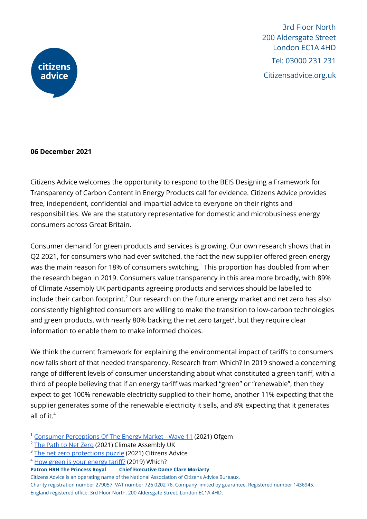

#### **06 December 2021**

Citizens Advice welcomes the opportunity to respond to the BEIS Designing a Framework for Transparency of Carbon Content in Energy Products call for evidence. Citizens Advice provides free, independent, confidential and impartial advice to everyone on their rights and responsibilities. We are the statutory representative for domestic and microbusiness energy consumers across Great Britain.

Consumer demand for green products and services is growing. Our own research shows that in Q2 2021, for consumers who had ever switched, the fact the new supplier offered green energy was the main reason for 18% of consumers switching. <sup>1</sup> This proportion has doubled from when the research began in 2019. Consumers value transparency in this area more broadly, with 89% of Climate Assembly UK participants agreeing products and services should be labelled to include their carbon footprint. $^{2}$  Our research on the future energy market and net zero has also consistently highlighted consumers are willing to make the transition to low-carbon technologies and green products, with nearly 80% backing the net zero target<sup>3</sup>, but they require clear information to enable them to make informed choices.

We think the current framework for explaining the environmental impact of tariffs to consumers now falls short of that needed transparency. Research from Which? In 2019 showed a concerning range of different levels of consumer understanding about what constituted a green tariff, with a third of people believing that if an energy tariff was marked "green" or "renewable", then they expect to get 100% renewable electricity supplied to their home, another 11% expecting that the supplier generates some of the renewable electricity it sells, and 8% expecting that it generates all of it. 4

<sup>&</sup>lt;sup>1</sup> Consumer [Perceptions](https://www.ofgem.gov.uk/publications/consumer-perceptions-energy-market-q2-2021) Of The Energy Market - Wave 11 (2021) Ofgem

<sup>&</sup>lt;sup>2</sup> The [Path](https://www.climateassembly.uk/report/read/final-report.pdf) to Net Zero (2021) Climate Assembly UK

<sup>&</sup>lt;sup>3</sup> The net zero [protections](https://www.citizensadvice.org.uk/Global/CitizensAdvice/Energy/OctFINAL%20The%20net%20zero%20protections%20puzzle_%20Helping%20people%20piece%20together%20home%20energy%20improvements.pdf) puzzle (2021) Citizens Advice

<sup>4</sup> How green is your [energy](https://www.which.co.uk/news/2019/09/how-green-is-your-energy-tariff/) tariff? (2019) Which?

**Patron HRH The Princess Royal Chief Executive Dame Clare Moriarty**

Citizens Advice is an operating name of the National Association of Citizens Advice Bureaux. Charity registration number 279057. VAT number 726 0202 76. Company limited by guarantee. Registered number 1436945. England registered office: 3rd Floor North, 200 Aldersgate Street, London EC1A 4HD.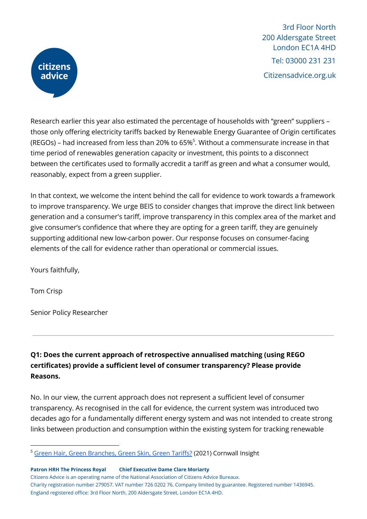

Research earlier this year also estimated the percentage of households with "green" suppliers – those only offering electricity tariffs backed by Renewable Energy Guarantee of Origin certificates (REGOs) – had increased from less than 20% to 65% $^5$ . Without a commensurate increase in that time period of renewables generation capacity or investment, this points to a disconnect between the certificates used to formally accredit a tariff as green and what a consumer would, reasonably, expect from a green supplier.

In that context, we welcome the intent behind the call for evidence to work towards a framework to improve transparency. We urge BEIS to consider changes that improve the direct link between generation and a consumer's tariff, improve transparency in this complex area of the market and give consumer's confidence that where they are opting for a green tariff, they are genuinely supporting additional new low-carbon power. Our response focuses on consumer-facing elements of the call for evidence rather than operational or commercial issues.

Yours faithfully,

Tom Crisp

Senior Policy Researcher

**Q1: Does the current approach of retrospective annualised matching (using REGO certificates) provide a sufficient level of consumer transparency? Please provide Reasons.**

No. In our view, the current approach does not represent a sufficient level of consumer transparency. As recognised in the call for evidence, the current system was introduced two decades ago for a fundamentally different energy system and was not intended to create strong links between production and consumption within the existing system for tracking renewable

Citizens Advice is an operating name of the National Association of Citizens Advice Bureaux. Charity registration number 279057. VAT number 726 0202 76. Company limited by guarantee. Registered number 1436945. England registered office: 3rd Floor North, 200 Aldersgate Street, London EC1A 4HD.

<sup>&</sup>lt;sup>5</sup> Green Hair, Green [Branches,](https://portal.cornwall-insight.com/s/blog-article/aCa4J00000000hfSAA/green-hair-green-branches-green-skin-green-tariffs) Green Skin, Green Tariffs? (2021) Cornwall Insight

**Patron HRH The Princess Royal Chief Executive Dame Clare Moriarty**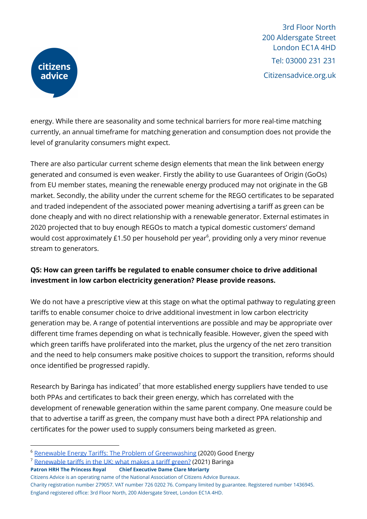

energy. While there are seasonality and some technical barriers for more real-time matching currently, an annual timeframe for matching generation and consumption does not provide the level of granularity consumers might expect.

There are also particular current scheme design elements that mean the link between energy generated and consumed is even weaker. Firstly the ability to use Guarantees of Origin (GoOs) from EU member states, meaning the renewable energy produced may not originate in the GB market. Secondly, the ability under the current scheme for the REGO certificates to be separated and traded independent of the associated power meaning advertising a tariff as green can be done cheaply and with no direct relationship with a renewable generator. External estimates in 2020 projected that to buy enough REGOs to match a typical domestic customers' demand would cost approximately £1.50 per household per year $^6$ , providing only a very minor revenue stream to generators.

## **Q5: How can green tariffs be regulated to enable consumer choice to drive additional investment in low carbon electricity generation? Please provide reasons.**

We do not have a prescriptive view at this stage on what the optimal pathway to regulating green tariffs to enable consumer choice to drive additional investment in low carbon electricity generation may be. A range of potential interventions are possible and may be appropriate over different time frames depending on what is technically feasible. However, given the speed with which green tariffs have proliferated into the market, plus the urgency of the net zero transition and the need to help consumers make positive choices to support the transition, reforms should once identified be progressed rapidly.

Research by Baringa has indicated<sup>7</sup> that more established energy suppliers have tended to use both PPAs and certificates to back their green energy, which has correlated with the development of renewable generation within the same parent company. One measure could be that to advertise a tariff as green, the company must have both a direct PPA relationship and certificates for the power used to supply consumers being marketed as green.

- **Patron HRH The Princess Royal Chief Executive Dame Clare Moriarty**
- Citizens Advice is an operating name of the National Association of Citizens Advice Bureaux. Charity registration number 279057. VAT number 726 0202 76. Company limited by guarantee. Registered number 1436945. England registered office: 3rd Floor North, 200 Aldersgate Street, London EC1A 4HD.

<sup>&</sup>lt;sup>6</sup> Renewable Energy Tariffs: The Problem of [Greenwashing](https://www.goodenergy.co.uk/media/18782/the-problem-of-greenwashing-october-2020.pdf) (2020) Good Energy

<sup>7</sup> [Renewable](https://www.baringa.com/BaringaWebsite/media/BaringaMedia/Campaign_LCF/Webpages/Renewable-tariffs-in-the-UK-what-makes-a-tariff-green.pdf) tariffs in the UK: what makes a tariff green? (2021) Baringa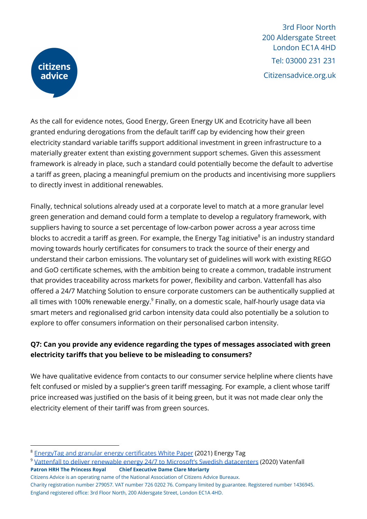

As the call for evidence notes, Good Energy, Green Energy UK and Ecotricity have all been granted enduring derogations from the default tariff cap by evidencing how their green electricity standard variable tariffs support additional investment in green infrastructure to a materially greater extent than existing government support schemes. Given this assessment framework is already in place, such a standard could potentially become the default to advertise a tariff as green, placing a meaningful premium on the products and incentivising more suppliers to directly invest in additional renewables.

Finally, technical solutions already used at a corporate level to match at a more granular level green generation and demand could form a template to develop a regulatory framework, with suppliers having to source a set percentage of low-carbon power across a year across time blocks to accredit a tariff as green. For example, the Energy Tag initiative<sup>8</sup> is an industry standard moving towards hourly certificates for consumers to track the source of their energy and understand their carbon emissions. The voluntary set of guidelines will work with existing REGO and GoO certificate schemes, with the ambition being to create a common, tradable instrument that provides traceability across markets for power, flexibility and carbon. Vattenfall has also offered a 24/7 Matching Solution to ensure corporate customers can be authentically supplied at all times with 100% renewable energy.<sup>9</sup> Finally, on a domestic scale, half-hourly usage data via smart meters and regionalised grid carbon intensity data could also potentially be a solution to explore to offer consumers information on their personalised carbon intensity.

## **Q7: Can you provide any evidence regarding the types of messages associated with green electricity tariffs that you believe to be misleading to consumers?**

We have qualitative evidence from contacts to our consumer service helpline where clients have felt confused or misled by a supplier's green tariff messaging. For example, a client whose tariff price increased was justified on the basis of it being green, but it was not made clear only the electricity element of their tariff was from green sources.

Citizens Advice is an operating name of the National Association of Citizens Advice Bureaux. Charity registration number 279057. VAT number 726 0202 76. Company limited by guarantee. Registered number 1436945. England registered office: 3rd Floor North, 200 Aldersgate Street, London EC1A 4HD.

<sup>8</sup> EnergyTag and granular energy [certificates](https://www.energytag.org/wp-content/uploads/2021/05/EnergyTag-and-granular-energy-certificates.pdf) White Paper (2021) Energy Tag

<sup>9</sup> Vattenfall to deliver renewable energy 24/7 to Microsoft's Swedish [datacenters](https://group.vattenfall.com/press-and-media/pressreleases/2020/vattenfall-to-deliver-renewable-energy-247-to-microsofts-swedish-datacenters) (2020) Vatenfall **Patron HRH The Princess Royal Chief Executive Dame Clare Moriarty**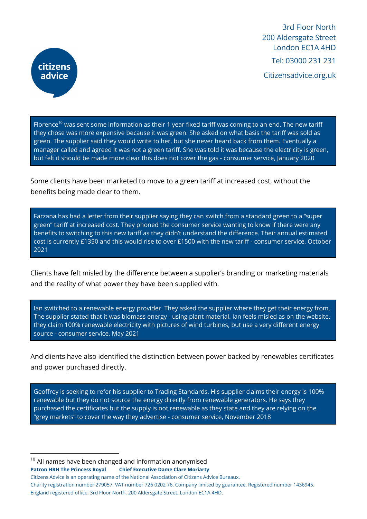

Florence $^{10}$  was sent some information as their 1 year fixed tariff was coming to an end. The new tarif they chose was more expensive because it was green. She asked on what basis the tariff was sold as green. The supplier said they would write to her, but she never heard back from them. Eventually a manager called and agreed it was not a green tariff. She was told it was because the electricity is green, but felt it should be made more clear this does not cover the gas - consumer service, January 2020

Some clients have been marketed to move to a green tariff at increased cost, without the benefits being made clear to them.

Farzana has had a letter from their supplier saying they can switch from a standard green to a "super green" tariff at increased cost. They phoned the consumer service wanting to know if there were any benefits to switching to this new tariff as they didn't understand the difference. Their annual estimated cost is currently £1350 and this would rise to over £1500 with the new tariff - consumer service, October 2021

Clients have felt misled by the difference between a supplier's branding or marketing materials and the reality of what power they have been supplied with.

Ian switched to a renewable energy provider. They asked the supplier where they get their energy from. The supplier stated that it was biomass energy - using plant material. Ian feels misled as on the website, they claim 100% renewable electricity with pictures of wind turbines, but use a very different energy source - consumer service, May 2021

And clients have also identified the distinction between power backed by renewables certificates and power purchased directly.

Geoffrey is seeking to refer his supplier to Trading Standards. His supplier claims their energy is 100% renewable but they do not source the energy directly from renewable generators. He says they purchased the certificates but the supply is not renewable as they state and they are relying on the "grey markets" to cover the way they advertise - consumer service, November 2018

 $10$  All names have been changed and information anonymised **Patron HRH The Princess Royal Chief Executive Dame Clare Moriarty**

Citizens Advice is an operating name of the National Association of Citizens Advice Bureaux. Charity registration number 279057. VAT number 726 0202 76. Company limited by guarantee. Registered number 1436945. England registered office: 3rd Floor North, 200 Aldersgate Street, London EC1A 4HD.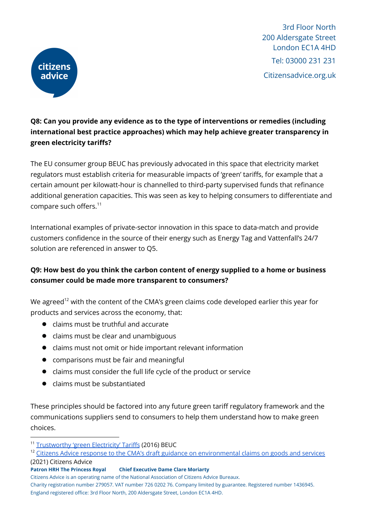

## **Q8: Can you provide any evidence as to the type of interventions or remedies (including international best practice approaches) which may help achieve greater transparency in green electricity tariffs?**

The EU consumer group BEUC has previously advocated in this space that electricity market regulators must establish criteria for measurable impacts of 'green' tariffs, for example that a certain amount per kilowatt-hour is channelled to third-party supervised funds that refinance additional generation capacities. This was seen as key to helping consumers to differentiate and compare such offers. 11

International examples of private-sector innovation in this space to data-match and provide customers confidence in the source of their energy such as Energy Tag and Vattenfall's 24/7 solution are referenced in answer to Q5.

## **Q9: How best do you think the carbon content of energy supplied to a home or business consumer could be made more transparent to consumers?**

We agreed $^{\text{12}}$  with the content of the CMA's green claims code developed earlier this year for products and services across the economy, that:

- claims must be truthful and accurate
- claims must be clear and unambiguous
- claims must not omit or hide important relevant information
- comparisons must be fair and meaningful
- claims must consider the full life cycle of the product or service
- claims must be substantiated

These principles should be factored into any future green tariff regulatory framework and the communications suppliers send to consumers to help them understand how to make green choices.

Charity registration number 279057. VAT number 726 0202 76. Company limited by guarantee. Registered number 1436945.

<sup>11</sup> [Trustworthy](https://www.beuc.eu/publications/beuc-x-2016-002_jmu_trustworthy_green_electricity_tariffs.pdf) 'green Electricity' Tariffs (2016) BEUC

<sup>&</sup>lt;sup>12</sup> Citizens Advice response to the CMA's draft guidance on [environmental](https://www.citizensadvice.org.uk/about-us/our-work/policy/policy-research-topics/energy-policy-research-and-consultation-responses/energy-consultation-responses/citizens-advice-response-to-the-cmas-draft-guidance-on-environmental-claims-on-goods-and-services/) claims on goods and services (2021) Citizens Advice

**Patron HRH The Princess Royal Chief Executive Dame Clare Moriarty**

Citizens Advice is an operating name of the National Association of Citizens Advice Bureaux.

England registered office: 3rd Floor North, 200 Aldersgate Street, London EC1A 4HD.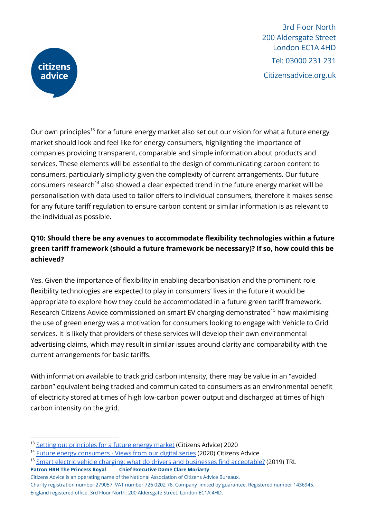

Our own principles<sup>13</sup> for a future energy market also set out our vision for what a future energy market should look and feel like for energy consumers, highlighting the importance of companies providing transparent, comparable and simple information about products and services. These elements will be essential to the design of communicating carbon content to consumers, particularly simplicity given the complexity of current arrangements. Our future consumers research $^{14}$  also showed a clear expected trend in the future energy market will be personalisation with data used to tailor offers to individual consumers, therefore it makes sense for any future tariff regulation to ensure carbon content or similar information is as relevant to the individual as possible.

## **Q10: Should there be any avenues to accommodate flexibility technologies within a future green tariff framework (should a future framework be necessary)? If so, how could this be achieved?**

Yes. Given the importance of flexibility in enabling decarbonisation and the prominent role flexibility technologies are expected to play in consumers' lives in the future it would be appropriate to explore how they could be accommodated in a future green tariff framework. Research Citizens Advice commissioned on smart EV charging demonstrated<sup>15</sup> how maximising the use of green energy was a motivation for consumers looking to engage with Vehicle to Grid services. It is likely that providers of these services will develop their own environmental advertising claims, which may result in similar issues around clarity and comparability with the current arrangements for basic tariffs.

With information available to track grid carbon intensity, there may be value in an "avoided carbon" equivalent being tracked and communicated to consumers as an environmental benefit of electricity stored at times of high low-carbon power output and discharged at times of high carbon intensity on the grid.

- **Patron HRH The Princess Royal Chief Executive Dame Clare Moriarty**
- Citizens Advice is an operating name of the National Association of Citizens Advice Bureaux. Charity registration number 279057. VAT number 726 0202 76. Company limited by guarantee. Registered number 1436945. England registered office: 3rd Floor North, 200 Aldersgate Street, London EC1A 4HD.

<sup>&</sup>lt;sup>13</sup> Setting out [principles](https://www.citizensadvice.org.uk/Global/CitizensAdvice/Energy/FEC%20slides%20(1).pdf) for a future energy market (Citizens Advice) 2020

<sup>&</sup>lt;sup>14</sup> Future energy [consumers](https://www.citizensadvice.org.uk/about-us/our-work/policy/policy-research-topics/energy-policy-research-and-consultation-responses/energy-policy-research/future-energy-consumers-views-from-our-digital-series/) - Views from our digital series (2020) Citizens Advice

<sup>&</sup>lt;sup>15</sup> Smart electric vehicle charging: what do drivers and businesses find [acceptable?](https://www.citizensadvice.org.uk/Global/CitizensAdvice/Energy/Smart%20EV%20charging%20-%20What%20do%20drivers%20and%20businesses%20find%20acceptable%20-%20Final%20Report%20for%20Citizens%20Advice%20(1).pdf) (2019) TRL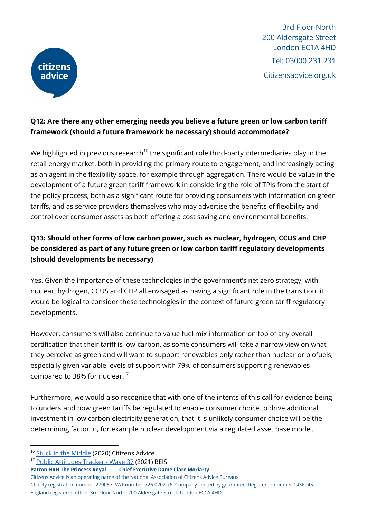

## **Q12: Are there any other emerging needs you believe a future green or low carbon tariff framework (should a future framework be necessary) should accommodate?**

We highlighted in previous research $^{16}$  the significant role third-party intermediaries play in the retail energy market, both in providing the primary route to engagement, and increasingly acting as an agent in the flexibility space, for example through aggregation. There would be value in the development of a future green tariff framework in considering the role of TPIs from the start of the policy process, both as a significant route for providing consumers with information on green tariffs, and as service providers themselves who may advertise the benefits of flexibility and control over consumer assets as both offering a cost saving and environmental benefits.

# **Q13: Should other forms of low carbon power, such as nuclear, hydrogen, CCUS and CHP be considered as part of any future green or low carbon tariff regulatory developments (should developments be necessary)**

Yes. Given the importance of these technologies in the government's net zero strategy, with nuclear, hydrogen, CCUS and CHP all envisaged as having a significant role in the transition, it would be logical to consider these technologies in the context of future green tariff regulatory developments.

However, consumers will also continue to value fuel mix information on top of any overall certification that their tariff is low-carbon, as some consumers will take a narrow view on what they perceive as green and will want to support renewables only rather than nuclear or biofuels, especially given variable levels of support with 79% of consumers supporting renewables compared to 38% for nuclear. 17

Furthermore, we would also recognise that with one of the intents of this call for evidence being to understand how green tariffs be regulated to enable consumer choice to drive additional investment in low carbon electricity generation, that it is unlikely consumer choice will be the determining factor in, for example nuclear development via a regulated asset base model.

```
Patron HRH The Princess Royal Chief Executive Dame Clare Moriarty
```
- Citizens Advice is an operating name of the National Association of Citizens Advice Bureaux. Charity registration number 279057. VAT number 726 0202 76. Company limited by guarantee. Registered number 1436945.
- England registered office: 3rd Floor North, 200 Aldersgate Street, London EC1A 4HD.

<sup>&</sup>lt;sup>16</sup> Stuck in the [Middle](https://www.citizensadvice.org.uk/about-us/our-work/policy/policy-research-topics/energy-policy-research-and-consultation-responses/energy-policy-research/stuck-in-the-middle/) (2020) Citizens Advice

<sup>17</sup> Public [Attitudes](https://assets.publishing.service.gov.uk/government/uploads/system/uploads/attachment_data/file/985092/BEIS_PAT_W37_-_Key_Findings.pdf) Tracker - Wave 37 (2021) BEIS